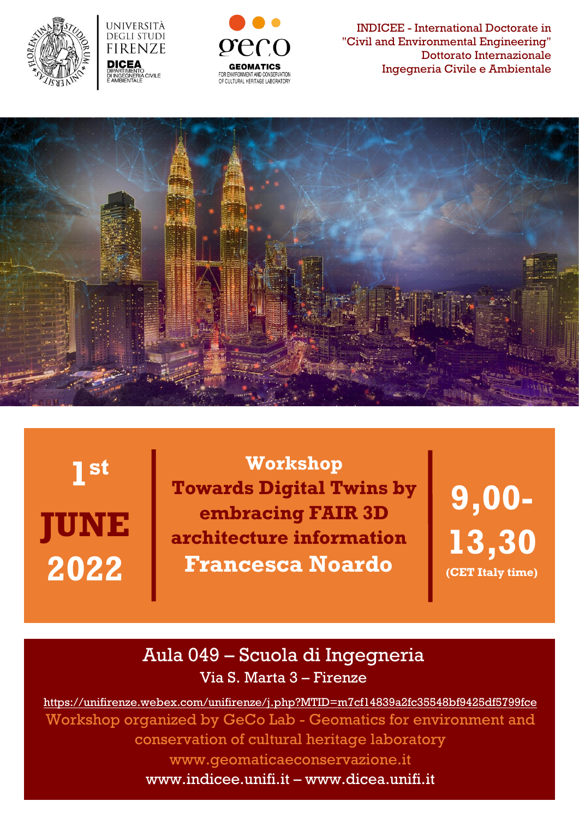





INDICEE - International Doctorate in "Civil and Environmental Engineering" Dottorato Internazionale Ingegneria Civile e Ambientale



**JUNE 2022 1 st**

**Workshop Towards Digital Twins by embracing FAIR 3D architecture information Francesca Noardo**

**9,00- 13,30 (CET Italy time)**

## Aula 049 – Scuola di Ingegneria Via S. Marta 3 – Firenze

<https://unifirenze.webex.com/unifirenze/j.php?MTID=m7cf14839a2fc35548bf9425df5799fce> Workshop organized by GeCo Lab - Geomatics for environment and conservation of cultural heritage laboratory [www.geomaticaeconservazione.it](http://www.geomaticaeconservazione.it/) [www.indicee.unifi.it](http://www.indicee.unifi.it/) – [www.dicea.unifi.it](http://www.dicea.unifi.it/)